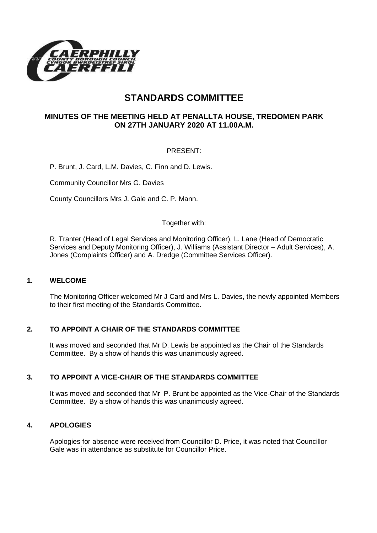

# **STANDARDS COMMITTEE**

# **MINUTES OF THE MEETING HELD AT PENALLTA HOUSE, TREDOMEN PARK ON 27TH JANUARY 2020 AT 11.00A.M.**

# PRESENT:

P. Brunt, J. Card, L.M. Davies, C. Finn and D. Lewis.

Community Councillor Mrs G. Davies

County Councillors Mrs J. Gale and C. P. Mann.

#### Together with:

R. Tranter (Head of Legal Services and Monitoring Officer), L. Lane (Head of Democratic Services and Deputy Monitoring Officer), J. Williams (Assistant Director – Adult Services), A. Jones (Complaints Officer) and A. Dredge (Committee Services Officer).

#### **1. WELCOME**

The Monitoring Officer welcomed Mr J Card and Mrs L. Davies, the newly appointed Members to their first meeting of the Standards Committee.

#### **2. TO APPOINT A CHAIR OF THE STANDARDS COMMITTEE**

It was moved and seconded that Mr D. Lewis be appointed as the Chair of the Standards Committee. By a show of hands this was unanimously agreed.

#### **3. TO APPOINT A VICE-CHAIR OF THE STANDARDS COMMITTEE**

It was moved and seconded that Mr P. Brunt be appointed as the Vice-Chair of the Standards Committee. By a show of hands this was unanimously agreed.

#### **4. APOLOGIES**

Apologies for absence were received from Councillor D. Price, it was noted that Councillor Gale was in attendance as substitute for Councillor Price.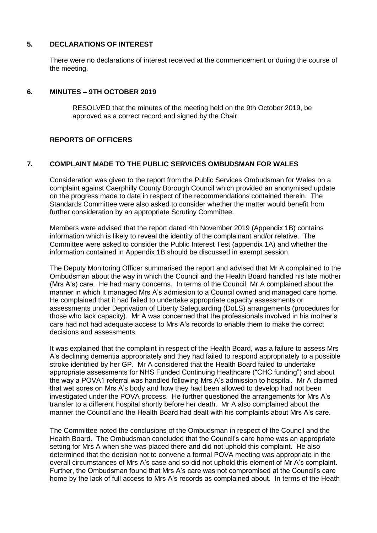#### **5. DECLARATIONS OF INTEREST**

There were no declarations of interest received at the commencement or during the course of the meeting.

#### **6. MINUTES – 9TH OCTOBER 2019**

RESOLVED that the minutes of the meeting held on the 9th October 2019, be approved as a correct record and signed by the Chair.

## **REPORTS OF OFFICERS**

## **7. COMPLAINT MADE TO THE PUBLIC SERVICES OMBUDSMAN FOR WALES**

Consideration was given to the report from the Public Services Ombudsman for Wales on a complaint against Caerphilly County Borough Council which provided an anonymised update on the progress made to date in respect of the recommendations contained therein. The Standards Committee were also asked to consider whether the matter would benefit from further consideration by an appropriate Scrutiny Committee.

Members were advised that the report dated 4th November 2019 (Appendix 1B) contains information which is likely to reveal the identity of the complainant and/or relative. The Committee were asked to consider the Public Interest Test (appendix 1A) and whether the information contained in Appendix 1B should be discussed in exempt session.

The Deputy Monitoring Officer summarised the report and advised that Mr A complained to the Ombudsman about the way in which the Council and the Health Board handled his late mother (Mrs A's) care. He had many concerns. In terms of the Council, Mr A complained about the manner in which it managed Mrs A's admission to a Council owned and managed care home. He complained that it had failed to undertake appropriate capacity assessments or assessments under Deprivation of Liberty Safeguarding (DoLS) arrangements (procedures for those who lack capacity). Mr A was concerned that the professionals involved in his mother's care had not had adequate access to Mrs A's records to enable them to make the correct decisions and assessments.

It was explained that the complaint in respect of the Health Board, was a failure to assess Mrs A's declining dementia appropriately and they had failed to respond appropriately to a possible stroke identified by her GP. Mr A considered that the Health Board failed to undertake appropriate assessments for NHS Funded Continuing Healthcare ("CHC funding") and about the way a POVA1 referral was handled following Mrs A's admission to hospital. Mr A claimed that wet sores on Mrs A's body and how they had been allowed to develop had not been investigated under the POVA process. He further questioned the arrangements for Mrs A's transfer to a different hospital shortly before her death. Mr A also complained about the manner the Council and the Health Board had dealt with his complaints about Mrs A's care.

The Committee noted the conclusions of the Ombudsman in respect of the Council and the Health Board. The Ombudsman concluded that the Council's care home was an appropriate setting for Mrs A when she was placed there and did not uphold this complaint. He also determined that the decision not to convene a formal POVA meeting was appropriate in the overall circumstances of Mrs A's case and so did not uphold this element of Mr A's complaint. Further, the Ombudsman found that Mrs A's care was not compromised at the Council's care home by the lack of full access to Mrs A's records as complained about. In terms of the Heath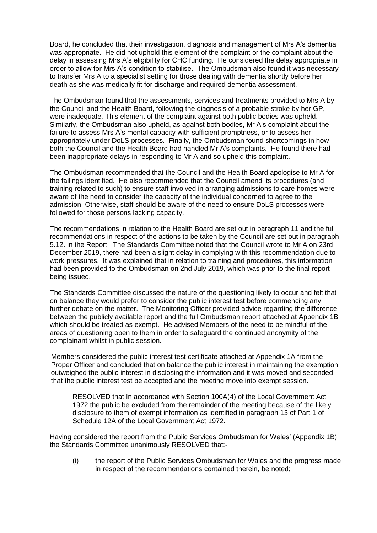Board, he concluded that their investigation, diagnosis and management of Mrs A's dementia was appropriate. He did not uphold this element of the complaint or the complaint about the delay in assessing Mrs A's eligibility for CHC funding. He considered the delay appropriate in order to allow for Mrs A's condition to stabilise. The Ombudsman also found it was necessary to transfer Mrs A to a specialist setting for those dealing with dementia shortly before her death as she was medically fit for discharge and required dementia assessment.

The Ombudsman found that the assessments, services and treatments provided to Mrs A by the Council and the Health Board, following the diagnosis of a probable stroke by her GP, were inadequate. This element of the complaint against both public bodies was upheld. Similarly, the Ombudsman also upheld, as against both bodies, Mr A's complaint about the failure to assess Mrs A's mental capacity with sufficient promptness, or to assess her appropriately under DoLS processes. Finally, the Ombudsman found shortcomings in how both the Council and the Health Board had handled Mr A's complaints. He found there had been inappropriate delays in responding to Mr A and so upheld this complaint.

The Ombudsman recommended that the Council and the Health Board apologise to Mr A for the failings identified. He also recommended that the Council amend its procedures (and training related to such) to ensure staff involved in arranging admissions to care homes were aware of the need to consider the capacity of the individual concerned to agree to the admission. Otherwise, staff should be aware of the need to ensure DoLS processes were followed for those persons lacking capacity.

The recommendations in relation to the Health Board are set out in paragraph 11 and the full recommendations in respect of the actions to be taken by the Council are set out in paragraph 5.12. in the Report. The Standards Committee noted that the Council wrote to Mr A on 23rd December 2019, there had been a slight delay in complying with this recommendation due to work pressures. It was explained that in relation to training and procedures, this information had been provided to the Ombudsman on 2nd July 2019, which was prior to the final report being issued.

The Standards Committee discussed the nature of the questioning likely to occur and felt that on balance they would prefer to consider the public interest test before commencing any further debate on the matter. The Monitoring Officer provided advice regarding the difference between the publicly available report and the full Ombudsman report attached at Appendix 1B which should be treated as exempt. He advised Members of the need to be mindful of the areas of questioning open to them in order to safeguard the continued anonymity of the complainant whilst in public session.

Members considered the public interest test certificate attached at Appendix 1A from the Proper Officer and concluded that on balance the public interest in maintaining the exemption outweighed the public interest in disclosing the information and it was moved and seconded that the public interest test be accepted and the meeting move into exempt session.

RESOLVED that In accordance with Section 100A(4) of the Local Government Act 1972 the public be excluded from the remainder of the meeting because of the likely disclosure to them of exempt information as identified in paragraph 13 of Part 1 of Schedule 12A of the Local Government Act 1972.

Having considered the report from the Public Services Ombudsman for Wales' (Appendix 1B) the Standards Committee unanimously RESOLVED that:-

(i) the report of the Public Services Ombudsman for Wales and the progress made in respect of the recommendations contained therein, be noted;